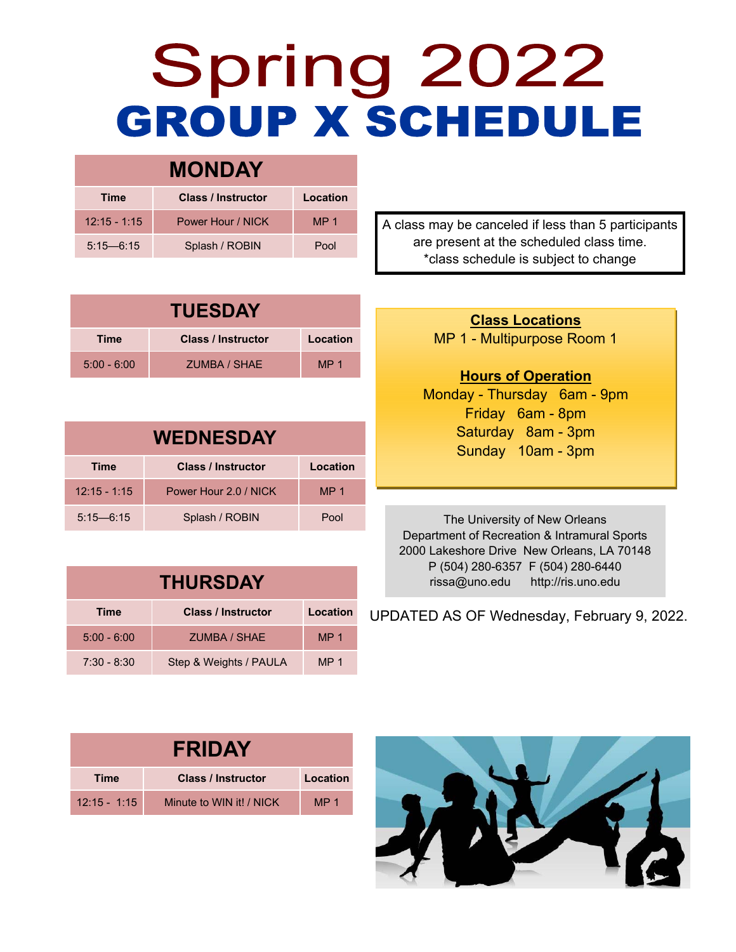## Spring 2022 **GROUP X SCHEDULE**

| <b>MONDAY</b>  |                           |                 |  |  |
|----------------|---------------------------|-----------------|--|--|
| <b>Time</b>    | <b>Class / Instructor</b> | Location        |  |  |
| $12:15 - 1:15$ | Power Hour / NICK         | MP <sub>1</sub> |  |  |
| $5:15 - 6:15$  | Splash / ROBIN            | Pool            |  |  |

**TUESDAY Time Class / Instructor Location**  5:00 - 6:00 ZUMBA / SHAE MP 1

| <b>WEDNESDAY</b> |                           |                 |  |  |
|------------------|---------------------------|-----------------|--|--|
| <b>Time</b>      | <b>Class / Instructor</b> | Location        |  |  |
| $12:15 - 1:15$   | Power Hour 2.0 / NICK     | MP <sub>1</sub> |  |  |
| $5:15 - 6:15$    | Splash / ROBIN            | Pool            |  |  |

| <b>THURSDAY</b> |                           |                 |  |  |
|-----------------|---------------------------|-----------------|--|--|
| <b>Time</b>     | <b>Class / Instructor</b> | Location        |  |  |
| $5:00 - 6:00$   | <b>ZUMBA / SHAE</b>       | MP <sub>1</sub> |  |  |
| $7:30 - 8:30$   | Step & Weights / PAULA    | MP <sub>1</sub> |  |  |

A class may be canceled if less than 5 participants are present at the scheduled class time. \*class schedule is subject to change

> **Class Locations** MP 1 - Multipurpose Room 1

## **Hours of Operation**

Monday - Thursday 6am - 9pm Friday 6am - 8pm Saturday 8am - 3pm Sunday 10am - 3pm

The University of New Orleans Department of Recreation & Intramural Sports 2000 Lakeshore Drive New Orleans, LA 70148 P (504) 280-6357 F (504) 280-6440 rissa@uno.edu http://ris.uno.edu

UPDATED AS OF Wednesday, February 9, 2022.

| <b>FRIDAY</b>  |                           |                 |  |  |
|----------------|---------------------------|-----------------|--|--|
| <b>Time</b>    | <b>Class / Instructor</b> | Location        |  |  |
| $12:15 - 1:15$ | Minute to WIN it! / NICK  | MP <sub>1</sub> |  |  |